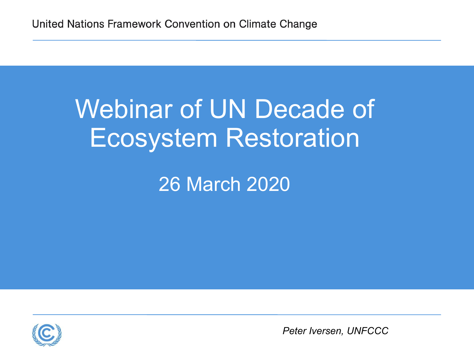## Webinar of UN Decade of Ecosystem Restoration

### 26 March 2020



*Peter Iversen, UNFCCC*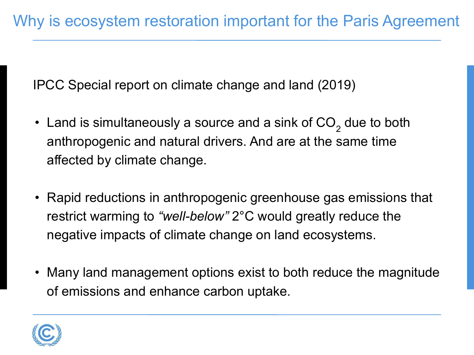IPCC Special report on climate change and land (2019)

- Land is simultaneously a source and a sink of CO<sub>2</sub> due to both anthropogenic and natural drivers. And are at the same time affected by climate change.
- Rapid reductions in anthropogenic greenhouse gas emissions that restrict warming to *"well-below"* 2°C would greatly reduce the negative impacts of climate change on land ecosystems.
- Many land management options exist to both reduce the magnitude of emissions and enhance carbon uptake.

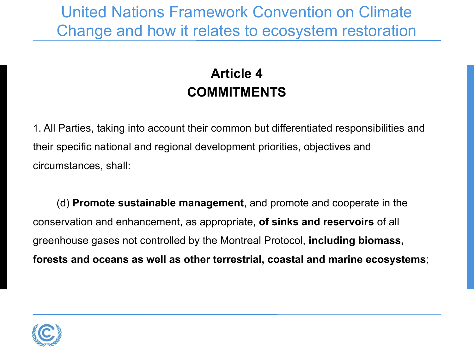United Nations Framework Convention on Climate Change and how it relates to ecosystem restoration

#### **Article 4 COMMITMENTS**

1. All Parties, taking into account their common but differentiated responsibilities and their specific national and regional development priorities, objectives and circumstances, shall:

(d) **Promote sustainable management**, and promote and cooperate in the conservation and enhancement, as appropriate, **of sinks and reservoirs** of all greenhouse gases not controlled by the Montreal Protocol, **including biomass, forests and oceans as well as other terrestrial, coastal and marine ecosystems**;

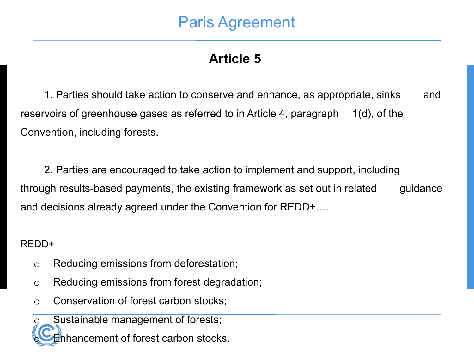#### Paris Agreement

#### **Article 5**

1. Parties should take action to conserve and enhance, as appropriate, sinks and reservoirs of greenhouse gases as referred to in Article 4, paragraph 1(d), of the Convention, including forests.

2. Parties are encouraged to take action to implement and support, including through results-based payments, the existing framework as set out in related guidance and decisions already agreed under the Convention for REDD+….

#### REDD+

- o Reducing emissions from deforestation;
- o Reducing emissions from forest degradation;
- o Conservation of forest carbon stocks;

Sustainable management of forests; hancement of forest carbon stocks.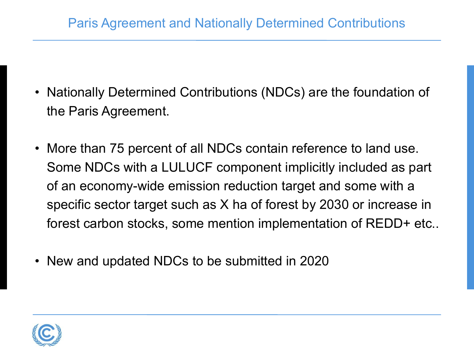- Nationally Determined Contributions (NDCs) are the foundation of the Paris Agreement.
- More than 75 percent of all NDCs contain reference to land use. Some NDCs with a LULUCF component implicitly included as part of an economy-wide emission reduction target and some with a specific sector target such as X ha of forest by 2030 or increase in forest carbon stocks, some mention implementation of REDD+ etc..
- New and updated NDCs to be submitted in 2020

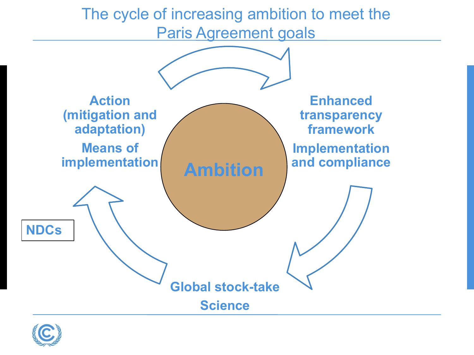The cycle of increasing ambition to meet the Paris Agreement goals



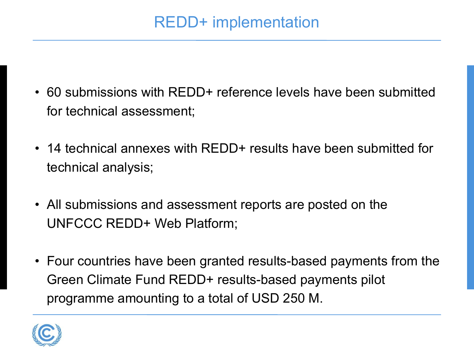- 60 submissions with REDD+ reference levels have been submitted for technical assessment;
- 14 technical annexes with REDD+ results have been submitted for technical analysis;
- All submissions and assessment reports are posted on the UNFCCC REDD+ Web Platform;
- Four countries have been granted results-based payments from the Green Climate Fund REDD+ results-based payments pilot programme amounting to a total of USD 250 M.